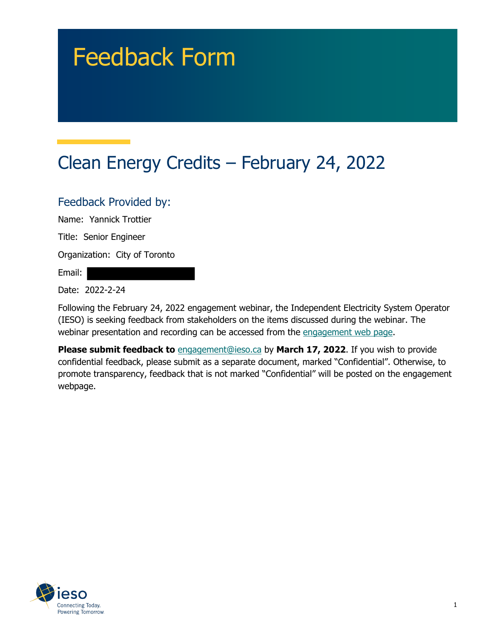# Feedback Form

## Clean Energy Credits – February 24, 2022

#### Feedback Provided by:

Name: Yannick Trottier

Title: Senior Engineer

Organization: City of Toronto

Email:

Date: 2022-2-24

Following the February 24, 2022 engagement webinar, the Independent Electricity System Operator (IESO) is seeking feedback from stakeholders on the items discussed during the webinar. The webinar presentation and recording can be accessed from the engagement web page.

**Please submit feedback to** engagement@ieso.ca by March 17, 2022. If you wish to provide confidential feedback, please submit as a separate document, marked "Confidential". Otherwise, to promote transparency, feedback that is not marked "Confidential" will be posted on the engagement webpage.

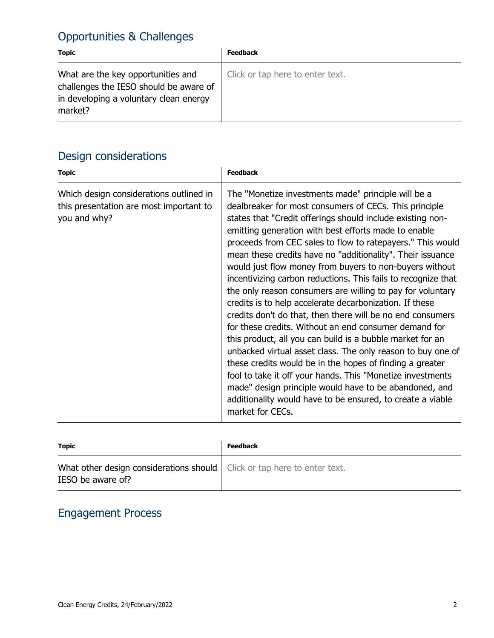### Opportunities & Challenges

| <b>Topic</b>                                                                                                                      | <b>Feedback</b>                  |
|-----------------------------------------------------------------------------------------------------------------------------------|----------------------------------|
| What are the key opportunities and<br>challenges the IESO should be aware of<br>in developing a voluntary clean energy<br>market? | Click or tap here to enter text. |

### Design considerations

| <b>Topic</b>                                                                                       | <b>Feedback</b>                                                                                                                                                                                                                                                                                                                                                                                                                                                                                                                                                                                                                                                                                                                                                                                                                                                                                                                                                                                                                                                                                                                               |
|----------------------------------------------------------------------------------------------------|-----------------------------------------------------------------------------------------------------------------------------------------------------------------------------------------------------------------------------------------------------------------------------------------------------------------------------------------------------------------------------------------------------------------------------------------------------------------------------------------------------------------------------------------------------------------------------------------------------------------------------------------------------------------------------------------------------------------------------------------------------------------------------------------------------------------------------------------------------------------------------------------------------------------------------------------------------------------------------------------------------------------------------------------------------------------------------------------------------------------------------------------------|
| Which design considerations outlined in<br>this presentation are most important to<br>you and why? | The "Monetize investments made" principle will be a<br>dealbreaker for most consumers of CECs. This principle<br>states that "Credit offerings should include existing non-<br>emitting generation with best efforts made to enable<br>proceeds from CEC sales to flow to ratepayers." This would<br>mean these credits have no "additionality". Their issuance<br>would just flow money from buyers to non-buyers without<br>incentivizing carbon reductions. This fails to recognize that<br>the only reason consumers are willing to pay for voluntary<br>credits is to help accelerate decarbonization. If these<br>credits don't do that, then there will be no end consumers<br>for these credits. Without an end consumer demand for<br>this product, all you can build is a bubble market for an<br>unbacked virtual asset class. The only reason to buy one of<br>these credits would be in the hopes of finding a greater<br>fool to take it off your hands. This "Monetize investments<br>made" design principle would have to be abandoned, and<br>additionality would have to be ensured, to create a viable<br>market for CECs. |

| <b>Topic</b>                                                                                    | <b>Feedback</b> |
|-------------------------------------------------------------------------------------------------|-----------------|
| What other design considerations should   Click or tap here to enter text.<br>IESO be aware of? |                 |

#### Engagement Process